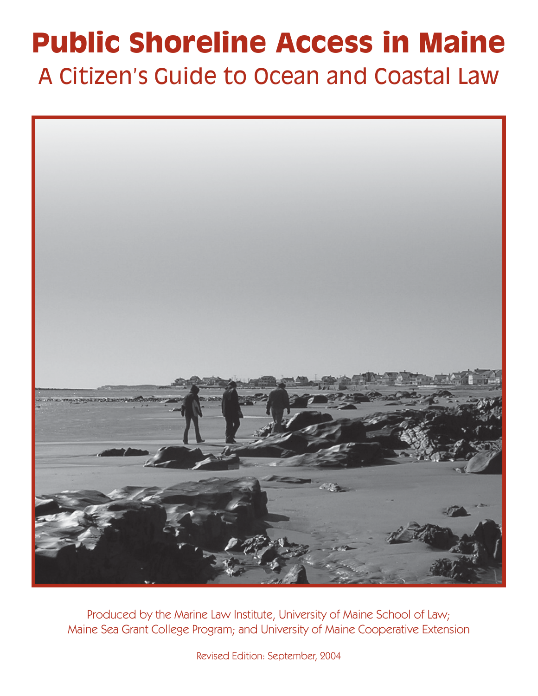# **Public Shoreline Access in Maine** A Citizen's Guide to Ocean and Coastal Law



Produced by the Marine Law Institute, University of Maine School of Law; Maine Sea Grant College Program; and University of Maine Cooperative Extension

Revised Edition: September, 2004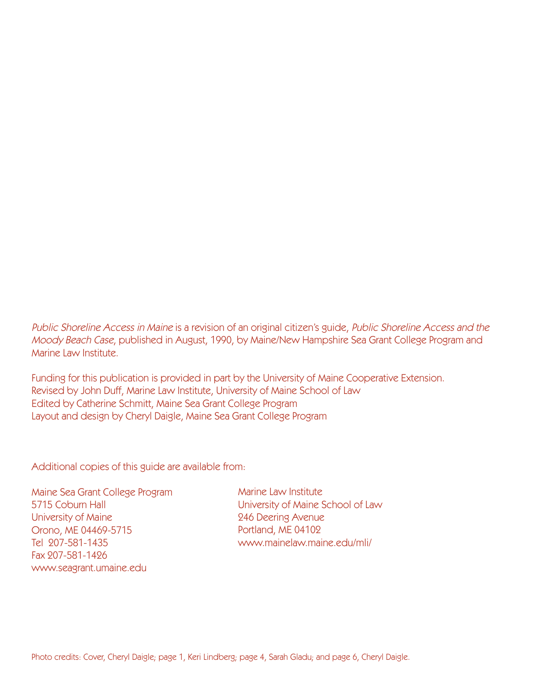Public Shoreline Access in Maine is a revision of an original citizen's guide, Public Shoreline Access and the Moody Beach Case, published in August, 1990, by Maine/New Hampshire Sea Grant College Program and Marine Law Institute.

Funding for this publication is provided in part by the University of Maine Cooperative Extension. Revised by John Duff, Marine Law Institute, University of Maine School of Law Edited by Catherine Schmitt, Maine Sea Grant College Program Layout and design by Cheryl Daigle, Maine Sea Grant College Program

Additional copies of this guide are available from:

Maine Sea Grant College Program 5715 Coburn Hall University of Maine Orono, ME 04469-5715 Tel 207-581-1435 Fax 207-581-1426 www.seagrant.umaine.edu

Marine Law Institute University of Maine School of Law 246 Deering Avenue Portland, ME 04102 www.mainelaw.maine.edu/mli/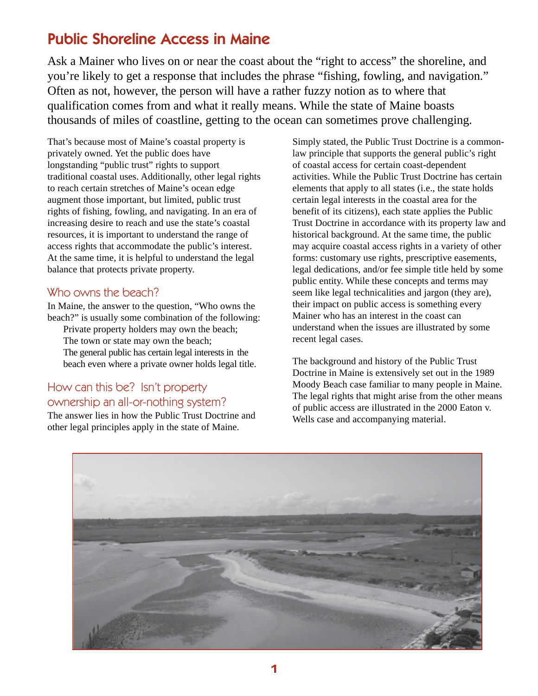### Public Shoreline Access in Maine

Ask a Mainer who lives on or near the coast about the "right to access" the shoreline, and you're likely to get a response that includes the phrase "fishing, fowling, and navigation." Often as not, however, the person will have a rather fuzzy notion as to where that qualification comes from and what it really means. While the state of Maine boasts thousands of miles of coastline, getting to the ocean can sometimes prove challenging.

That's because most of Maine's coastal property is privately owned. Yet the public does have longstanding "public trust" rights to support traditional coastal uses. Additionally, other legal rights to reach certain stretches of Maine's ocean edge augment those important, but limited, public trust rights of fishing, fowling, and navigating. In an era of increasing desire to reach and use the state's coastal resources, it is important to understand the range of access rights that accommodate the public's interest. At the same time, it is helpful to understand the legal balance that protects private property.

### Who owns the beach?

In Maine, the answer to the question, "Who owns the beach?" is usually some combination of the following:

Private property holders may own the beach; The town or state may own the beach; The general public has certain legal interests in the beach even where a private owner holds legal title.

### How can this be? Isn't property ownership an all-or-nothing system?

The answer lies in how the Public Trust Doctrine and other legal principles apply in the state of Maine.

Simply stated, the Public Trust Doctrine is a commonlaw principle that supports the general public's right of coastal access for certain coast-dependent activities. While the Public Trust Doctrine has certain elements that apply to all states (i.e., the state holds certain legal interests in the coastal area for the benefit of its citizens), each state applies the Public Trust Doctrine in accordance with its property law and historical background. At the same time, the public may acquire coastal access rights in a variety of other forms: customary use rights, prescriptive easements, legal dedications, and/or fee simple title held by some public entity. While these concepts and terms may seem like legal technicalities and jargon (they are), their impact on public access is something every Mainer who has an interest in the coast can understand when the issues are illustrated by some recent legal cases.

The background and history of the Public Trust Doctrine in Maine is extensively set out in the 1989 Moody Beach case familiar to many people in Maine. The legal rights that might arise from the other means of public access are illustrated in the 2000 Eaton v. Wells case and accompanying material.

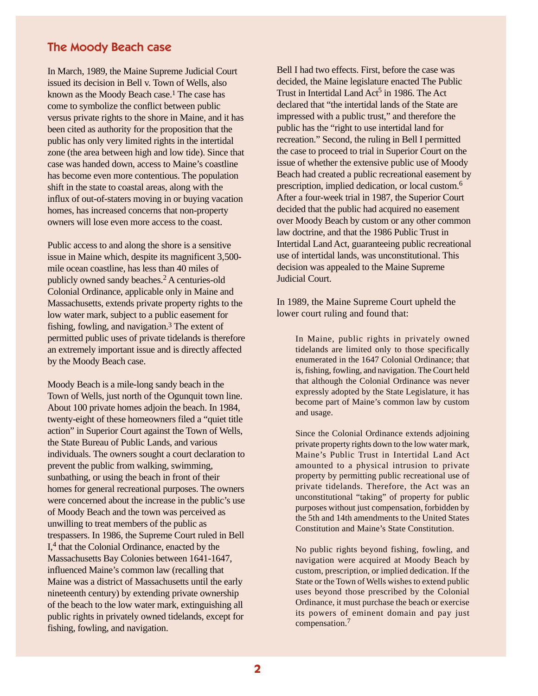#### The Moody Beach case

In March, 1989, the Maine Supreme Judicial Court issued its decision in Bell v. Town of Wells, also known as the Moody Beach case.1 The case has come to symbolize the conflict between public versus private rights to the shore in Maine, and it has been cited as authority for the proposition that the public has only very limited rights in the intertidal zone (the area between high and low tide). Since that case was handed down, access to Maine's coastline has become even more contentious. The population shift in the state to coastal areas, along with the influx of out-of-staters moving in or buying vacation homes, has increased concerns that non-property owners will lose even more access to the coast.

Public access to and along the shore is a sensitive issue in Maine which, despite its magnificent 3,500 mile ocean coastline, has less than 40 miles of publicly owned sandy beaches.2 A centuries-old Colonial Ordinance, applicable only in Maine and Massachusetts, extends private property rights to the low water mark, subject to a public easement for fishing, fowling, and navigation.3 The extent of permitted public uses of private tidelands is therefore an extremely important issue and is directly affected by the Moody Beach case.

Moody Beach is a mile-long sandy beach in the Town of Wells, just north of the Ogunquit town line. About 100 private homes adjoin the beach. In 1984, twenty-eight of these homeowners filed a "quiet title action" in Superior Court against the Town of Wells, the State Bureau of Public Lands, and various individuals. The owners sought a court declaration to prevent the public from walking, swimming, sunbathing, or using the beach in front of their homes for general recreational purposes. The owners were concerned about the increase in the public's use of Moody Beach and the town was perceived as unwilling to treat members of the public as trespassers. In 1986, the Supreme Court ruled in Bell I,4 that the Colonial Ordinance, enacted by the Massachusetts Bay Colonies between 1641-1647, influenced Maine's common law (recalling that Maine was a district of Massachusetts until the early nineteenth century) by extending private ownership of the beach to the low water mark, extinguishing all public rights in privately owned tidelands, except for fishing, fowling, and navigation.

Bell I had two effects. First, before the case was decided, the Maine legislature enacted The Public Trust in Intertidal Land Act<sup>5</sup> in 1986. The Act declared that "the intertidal lands of the State are impressed with a public trust," and therefore the public has the "right to use intertidal land for recreation." Second, the ruling in Bell I permitted the case to proceed to trial in Superior Court on the issue of whether the extensive public use of Moody Beach had created a public recreational easement by prescription, implied dedication, or local custom.6 After a four-week trial in 1987, the Superior Court decided that the public had acquired no easement over Moody Beach by custom or any other common law doctrine, and that the 1986 Public Trust in Intertidal Land Act, guaranteeing public recreational use of intertidal lands, was unconstitutional. This decision was appealed to the Maine Supreme Judicial Court.

In 1989, the Maine Supreme Court upheld the lower court ruling and found that:

In Maine, public rights in privately owned tidelands are limited only to those specifically enumerated in the 1647 Colonial Ordinance; that is, fishing, fowling, and navigation. The Court held that although the Colonial Ordinance was never expressly adopted by the State Legislature, it has become part of Maine's common law by custom and usage.

Since the Colonial Ordinance extends adjoining private property rights down to the low water mark, Maine's Public Trust in Intertidal Land Act amounted to a physical intrusion to private property by permitting public recreational use of private tidelands. Therefore, the Act was an unconstitutional "taking" of property for public purposes without just compensation, forbidden by the 5th and 14th amendments to the United States Constitution and Maine's State Constitution.

No public rights beyond fishing, fowling, and navigation were acquired at Moody Beach by custom, prescription, or implied dedication. If the State or the Town of Wells wishes to extend public uses beyond those prescribed by the Colonial Ordinance, it must purchase the beach or exercise its powers of eminent domain and pay just compensation.7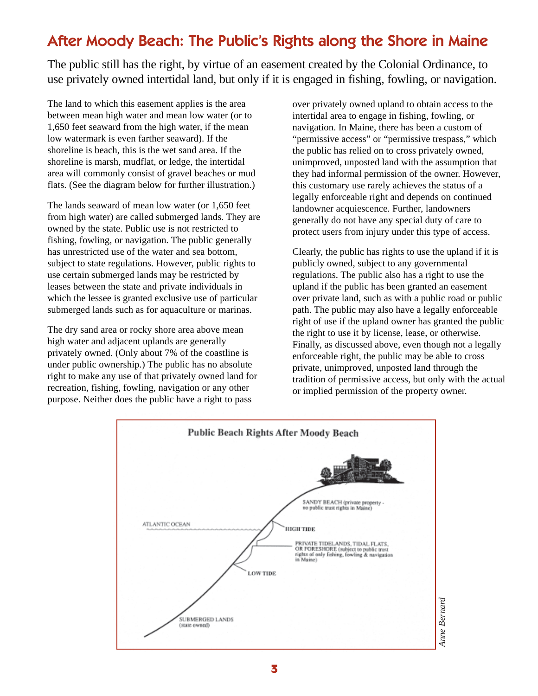### After Moody Beach: The Public's Rights along the Shore in Maine

The public still has the right, by virtue of an easement created by the Colonial Ordinance, to use privately owned intertidal land, but only if it is engaged in fishing, fowling, or navigation.

The land to which this easement applies is the area between mean high water and mean low water (or to 1,650 feet seaward from the high water, if the mean low watermark is even farther seaward). If the shoreline is beach, this is the wet sand area. If the shoreline is marsh, mudflat, or ledge, the intertidal area will commonly consist of gravel beaches or mud flats. (See the diagram below for further illustration.)

The lands seaward of mean low water (or 1,650 feet from high water) are called submerged lands. They are owned by the state. Public use is not restricted to fishing, fowling, or navigation. The public generally has unrestricted use of the water and sea bottom, subject to state regulations. However, public rights to use certain submerged lands may be restricted by leases between the state and private individuals in which the lessee is granted exclusive use of particular submerged lands such as for aquaculture or marinas.

The dry sand area or rocky shore area above mean high water and adjacent uplands are generally privately owned. (Only about 7% of the coastline is under public ownership.) The public has no absolute right to make any use of that privately owned land for recreation, fishing, fowling, navigation or any other purpose. Neither does the public have a right to pass

over privately owned upland to obtain access to the intertidal area to engage in fishing, fowling, or navigation. In Maine, there has been a custom of "permissive access" or "permissive trespass," which the public has relied on to cross privately owned, unimproved, unposted land with the assumption that they had informal permission of the owner. However, this customary use rarely achieves the status of a legally enforceable right and depends on continued landowner acquiescence. Further, landowners generally do not have any special duty of care to protect users from injury under this type of access.

Clearly, the public has rights to use the upland if it is publicly owned, subject to any governmental regulations. The public also has a right to use the upland if the public has been granted an easement over private land, such as with a public road or public path. The public may also have a legally enforceable right of use if the upland owner has granted the public the right to use it by license, lease, or otherwise. Finally, as discussed above, even though not a legally enforceable right, the public may be able to cross private, unimproved, unposted land through the tradition of permissive access, but only with the actual or implied permission of the property owner.

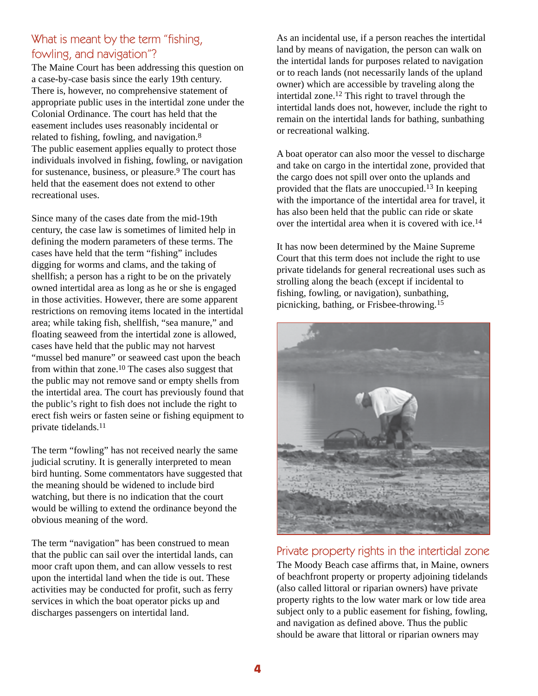### What is meant by the term "fishing, fowling, and navigation"?

The Maine Court has been addressing this question on a case-by-case basis since the early 19th century. There is, however, no comprehensive statement of appropriate public uses in the intertidal zone under the Colonial Ordinance. The court has held that the easement includes uses reasonably incidental or related to fishing, fowling, and navigation.8 The public easement applies equally to protect those individuals involved in fishing, fowling, or navigation for sustenance, business, or pleasure.9 The court has held that the easement does not extend to other recreational uses.

Since many of the cases date from the mid-19th century, the case law is sometimes of limited help in defining the modern parameters of these terms. The cases have held that the term "fishing" includes digging for worms and clams, and the taking of shellfish; a person has a right to be on the privately owned intertidal area as long as he or she is engaged in those activities. However, there are some apparent restrictions on removing items located in the intertidal area; while taking fish, shellfish, "sea manure," and floating seaweed from the intertidal zone is allowed, cases have held that the public may not harvest "mussel bed manure" or seaweed cast upon the beach from within that zone.<sup>10</sup> The cases also suggest that the public may not remove sand or empty shells from the intertidal area. The court has previously found that the public's right to fish does not include the right to erect fish weirs or fasten seine or fishing equipment to private tidelands.11

The term "fowling" has not received nearly the same judicial scrutiny. It is generally interpreted to mean bird hunting. Some commentators have suggested that the meaning should be widened to include bird watching, but there is no indication that the court would be willing to extend the ordinance beyond the obvious meaning of the word.

The term "navigation" has been construed to mean that the public can sail over the intertidal lands, can moor craft upon them, and can allow vessels to rest upon the intertidal land when the tide is out. These activities may be conducted for profit, such as ferry services in which the boat operator picks up and discharges passengers on intertidal land.

As an incidental use, if a person reaches the intertidal land by means of navigation, the person can walk on the intertidal lands for purposes related to navigation or to reach lands (not necessarily lands of the upland owner) which are accessible by traveling along the intertidal zone.12 This right to travel through the intertidal lands does not, however, include the right to remain on the intertidal lands for bathing, sunbathing or recreational walking.

A boat operator can also moor the vessel to discharge and take on cargo in the intertidal zone, provided that the cargo does not spill over onto the uplands and provided that the flats are unoccupied.13 In keeping with the importance of the intertidal area for travel, it has also been held that the public can ride or skate over the intertidal area when it is covered with ice.14

It has now been determined by the Maine Supreme Court that this term does not include the right to use private tidelands for general recreational uses such as strolling along the beach (except if incidental to fishing, fowling, or navigation), sunbathing, picnicking, bathing, or Frisbee-throwing.15



#### Private property rights in the intertidal zone

The Moody Beach case affirms that, in Maine, owners of beachfront property or property adjoining tidelands (also called littoral or riparian owners) have private property rights to the low water mark or low tide area subject only to a public easement for fishing, fowling, and navigation as defined above. Thus the public should be aware that littoral or riparian owners may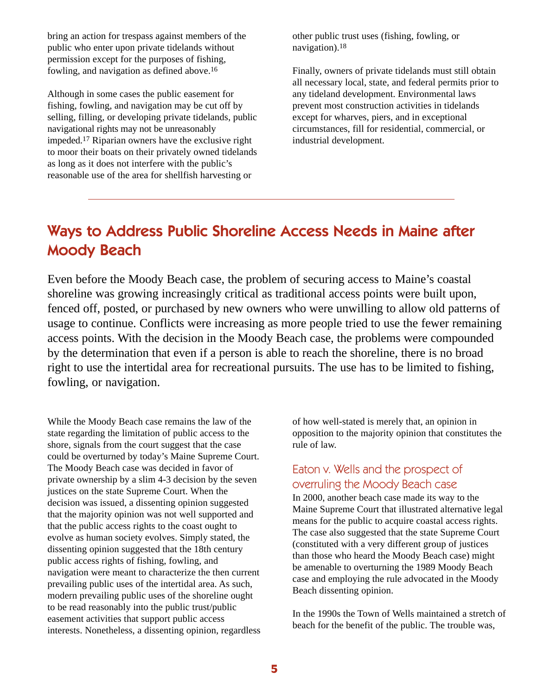bring an action for trespass against members of the public who enter upon private tidelands without permission except for the purposes of fishing, fowling, and navigation as defined above.16

Although in some cases the public easement for fishing, fowling, and navigation may be cut off by selling, filling, or developing private tidelands, public navigational rights may not be unreasonably impeded.17 Riparian owners have the exclusive right to moor their boats on their privately owned tidelands as long as it does not interfere with the public's reasonable use of the area for shellfish harvesting or

other public trust uses (fishing, fowling, or navigation).18

Finally, owners of private tidelands must still obtain all necessary local, state, and federal permits prior to any tideland development. Environmental laws prevent most construction activities in tidelands except for wharves, piers, and in exceptional circumstances, fill for residential, commercial, or industrial development.

### Ways to Address Public Shoreline Access Needs in Maine after Moody Beach

Even before the Moody Beach case, the problem of securing access to Maine's coastal shoreline was growing increasingly critical as traditional access points were built upon, fenced off, posted, or purchased by new owners who were unwilling to allow old patterns of usage to continue. Conflicts were increasing as more people tried to use the fewer remaining access points. With the decision in the Moody Beach case, the problems were compounded by the determination that even if a person is able to reach the shoreline, there is no broad right to use the intertidal area for recreational pursuits. The use has to be limited to fishing, fowling, or navigation.

While the Moody Beach case remains the law of the state regarding the limitation of public access to the shore, signals from the court suggest that the case could be overturned by today's Maine Supreme Court. The Moody Beach case was decided in favor of private ownership by a slim 4-3 decision by the seven justices on the state Supreme Court. When the decision was issued, a dissenting opinion suggested that the majority opinion was not well supported and that the public access rights to the coast ought to evolve as human society evolves. Simply stated, the dissenting opinion suggested that the 18th century public access rights of fishing, fowling, and navigation were meant to characterize the then current prevailing public uses of the intertidal area. As such, modern prevailing public uses of the shoreline ought to be read reasonably into the public trust/public easement activities that support public access interests. Nonetheless, a dissenting opinion, regardless of how well-stated is merely that, an opinion in opposition to the majority opinion that constitutes the rule of law.

### Eaton v. Wells and the prospect of overruling the Moody Beach case

In 2000, another beach case made its way to the Maine Supreme Court that illustrated alternative legal means for the public to acquire coastal access rights. The case also suggested that the state Supreme Court (constituted with a very different group of justices than those who heard the Moody Beach case) might be amenable to overturning the 1989 Moody Beach case and employing the rule advocated in the Moody Beach dissenting opinion.

In the 1990s the Town of Wells maintained a stretch of beach for the benefit of the public. The trouble was,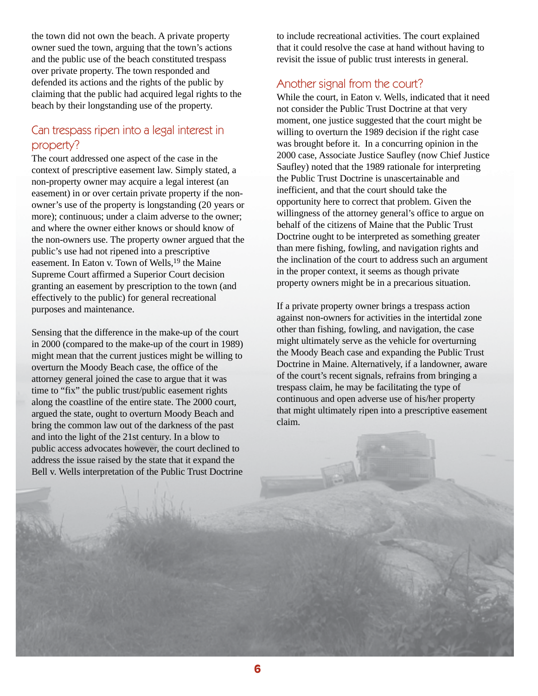the town did not own the beach. A private property owner sued the town, arguing that the town's actions and the public use of the beach constituted trespass over private property. The town responded and defended its actions and the rights of the public by claiming that the public had acquired legal rights to the beach by their longstanding use of the property.

### Can trespass ripen into a legal interest in property?

The court addressed one aspect of the case in the context of prescriptive easement law. Simply stated, a non-property owner may acquire a legal interest (an easement) in or over certain private property if the nonowner's use of the property is longstanding (20 years or more); continuous; under a claim adverse to the owner; and where the owner either knows or should know of the non-owners use. The property owner argued that the public's use had not ripened into a prescriptive easement. In Eaton v. Town of Wells,19 the Maine Supreme Court affirmed a Superior Court decision granting an easement by prescription to the town (and effectively to the public) for general recreational purposes and maintenance.

Sensing that the difference in the make-up of the court in 2000 (compared to the make-up of the court in 1989) might mean that the current justices might be willing to overturn the Moody Beach case, the office of the attorney general joined the case to argue that it was time to "fix" the public trust/public easement rights along the coastline of the entire state. The 2000 court, argued the state, ought to overturn Moody Beach and bring the common law out of the darkness of the past and into the light of the 21st century. In a blow to public access advocates however, the court declined to address the issue raised by the state that it expand the Bell v. Wells interpretation of the Public Trust Doctrine to include recreational activities. The court explained that it could resolve the case at hand without having to revisit the issue of public trust interests in general.

### Another signal from the court?

While the court, in Eaton v. Wells, indicated that it need not consider the Public Trust Doctrine at that very moment, one justice suggested that the court might be willing to overturn the 1989 decision if the right case was brought before it. In a concurring opinion in the 2000 case, Associate Justice Saufley (now Chief Justice Saufley) noted that the 1989 rationale for interpreting the Public Trust Doctrine is unascertainable and inefficient, and that the court should take the opportunity here to correct that problem. Given the willingness of the attorney general's office to argue on behalf of the citizens of Maine that the Public Trust Doctrine ought to be interpreted as something greater than mere fishing, fowling, and navigation rights and the inclination of the court to address such an argument in the proper context, it seems as though private property owners might be in a precarious situation.

If a private property owner brings a trespass action against non-owners for activities in the intertidal zone other than fishing, fowling, and navigation, the case might ultimately serve as the vehicle for overturning the Moody Beach case and expanding the Public Trust Doctrine in Maine. Alternatively, if a landowner, aware of the court's recent signals, refrains from bringing a trespass claim, he may be facilitating the type of continuous and open adverse use of his/her property that might ultimately ripen into a prescriptive easement claim.

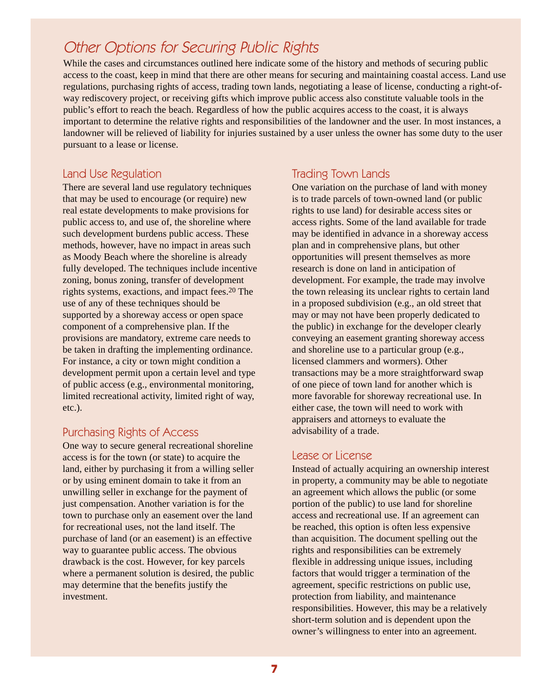### Other Options for Securing Public Rights

While the cases and circumstances outlined here indicate some of the history and methods of securing public access to the coast, keep in mind that there are other means for securing and maintaining coastal access. Land use regulations, purchasing rights of access, trading town lands, negotiating a lease of license, conducting a right-ofway rediscovery project, or receiving gifts which improve public access also constitute valuable tools in the public's effort to reach the beach. Regardless of how the public acquires access to the coast, it is always important to determine the relative rights and responsibilities of the landowner and the user. In most instances, a landowner will be relieved of liability for injuries sustained by a user unless the owner has some duty to the user pursuant to a lease or license.

### Land Use Regulation

There are several land use regulatory techniques that may be used to encourage (or require) new real estate developments to make provisions for public access to, and use of, the shoreline where such development burdens public access. These methods, however, have no impact in areas such as Moody Beach where the shoreline is already fully developed. The techniques include incentive zoning, bonus zoning, transfer of development rights systems, exactions, and impact fees.20 The use of any of these techniques should be supported by a shoreway access or open space component of a comprehensive plan. If the provisions are mandatory, extreme care needs to be taken in drafting the implementing ordinance. For instance, a city or town might condition a development permit upon a certain level and type of public access (e.g., environmental monitoring, limited recreational activity, limited right of way, etc.).

### Purchasing Rights of Access

One way to secure general recreational shoreline access is for the town (or state) to acquire the land, either by purchasing it from a willing seller or by using eminent domain to take it from an unwilling seller in exchange for the payment of just compensation. Another variation is for the town to purchase only an easement over the land for recreational uses, not the land itself. The purchase of land (or an easement) is an effective way to guarantee public access. The obvious drawback is the cost. However, for key parcels where a permanent solution is desired, the public may determine that the benefits justify the investment.

### Trading Town Lands

One variation on the purchase of land with money is to trade parcels of town-owned land (or public rights to use land) for desirable access sites or access rights. Some of the land available for trade may be identified in advance in a shoreway access plan and in comprehensive plans, but other opportunities will present themselves as more research is done on land in anticipation of development. For example, the trade may involve the town releasing its unclear rights to certain land in a proposed subdivision (e.g., an old street that may or may not have been properly dedicated to the public) in exchange for the developer clearly conveying an easement granting shoreway access and shoreline use to a particular group (e.g., licensed clammers and wormers). Other transactions may be a more straightforward swap of one piece of town land for another which is more favorable for shoreway recreational use. In either case, the town will need to work with appraisers and attorneys to evaluate the advisability of a trade.

### Lease or License

Instead of actually acquiring an ownership interest in property, a community may be able to negotiate an agreement which allows the public (or some portion of the public) to use land for shoreline access and recreational use. If an agreement can be reached, this option is often less expensive than acquisition. The document spelling out the rights and responsibilities can be extremely flexible in addressing unique issues, including factors that would trigger a termination of the agreement, specific restrictions on public use, protection from liability, and maintenance responsibilities. However, this may be a relatively short-term solution and is dependent upon the owner's willingness to enter into an agreement.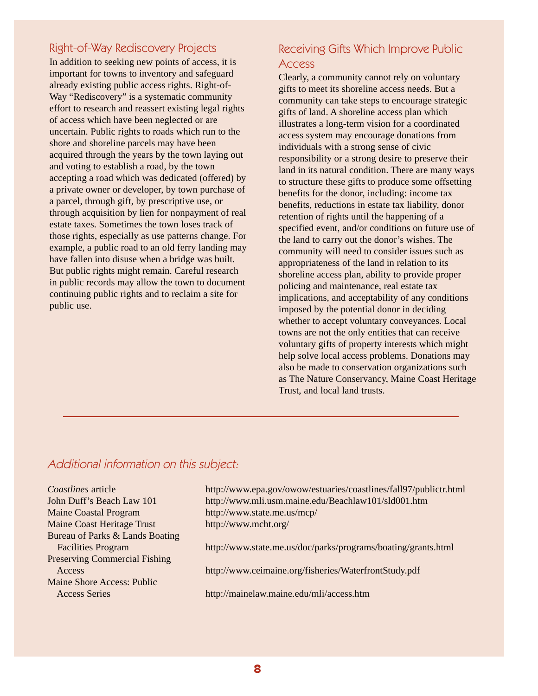### Right-of-Way Rediscovery Projects

In addition to seeking new points of access, it is important for towns to inventory and safeguard already existing public access rights. Right-of-Way "Rediscovery" is a systematic community effort to research and reassert existing legal rights of access which have been neglected or are uncertain. Public rights to roads which run to the shore and shoreline parcels may have been acquired through the years by the town laying out and voting to establish a road, by the town accepting a road which was dedicated (offered) by a private owner or developer, by town purchase of a parcel, through gift, by prescriptive use, or through acquisition by lien for nonpayment of real estate taxes. Sometimes the town loses track of those rights, especially as use patterns change. For example, a public road to an old ferry landing may have fallen into disuse when a bridge was built. But public rights might remain. Careful research in public records may allow the town to document continuing public rights and to reclaim a site for public use.

### Receiving Gifts Which Improve Public Access

Clearly, a community cannot rely on voluntary gifts to meet its shoreline access needs. But a community can take steps to encourage strategic gifts of land. A shoreline access plan which illustrates a long-term vision for a coordinated access system may encourage donations from individuals with a strong sense of civic responsibility or a strong desire to preserve their land in its natural condition. There are many ways to structure these gifts to produce some offsetting benefits for the donor, including: income tax benefits, reductions in estate tax liability, donor retention of rights until the happening of a specified event, and/or conditions on future use of the land to carry out the donor's wishes. The community will need to consider issues such as appropriateness of the land in relation to its shoreline access plan, ability to provide proper policing and maintenance, real estate tax implications, and acceptability of any conditions imposed by the potential donor in deciding whether to accept voluntary conveyances. Local towns are not the only entities that can receive voluntary gifts of property interests which might help solve local access problems. Donations may also be made to conservation organizations such as The Nature Conservancy, Maine Coast Heritage Trust, and local land trusts.

### Additional information on this subject:

| Coastlines article                   | http://www.epa.gov/owow/estuaries/coastlines/fall97/publictr.html |
|--------------------------------------|-------------------------------------------------------------------|
| John Duff's Beach Law 101            | http://www.mli.usm.maine.edu/Beachlaw101/sld001.htm               |
| <b>Maine Coastal Program</b>         | http://www.state.me.us/mcp/                                       |
| <b>Maine Coast Heritage Trust</b>    | http://www.mcht.org/                                              |
| Bureau of Parks & Lands Boating      |                                                                   |
| <b>Facilities Program</b>            | http://www.state.me.us/doc/parks/programs/boating/grants.html     |
| <b>Preserving Commercial Fishing</b> |                                                                   |
| Access                               | http://www.ceimaine.org/fisheries/WaterfrontStudy.pdf             |
| Maine Shore Access: Public           |                                                                   |
| <b>Access Series</b>                 | http://mainelaw.maine.edu/mli/access.htm                          |
|                                      |                                                                   |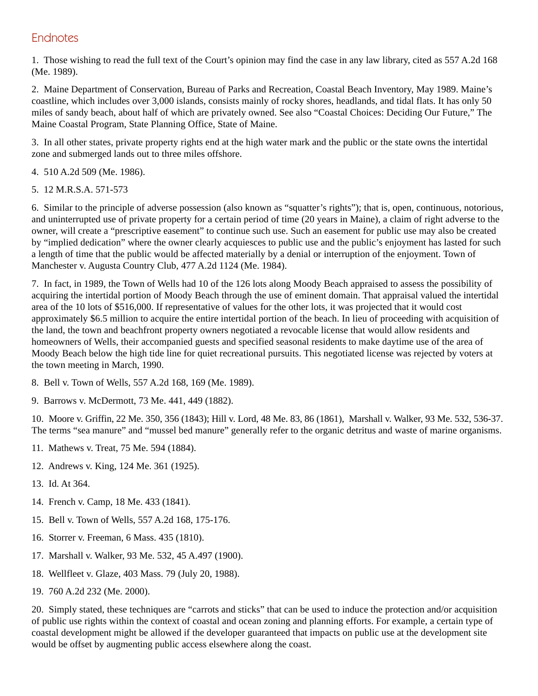### **Endnotes**

1. Those wishing to read the full text of the Court's opinion may find the case in any law library, cited as 557 A.2d 168 (Me. 1989).

2. Maine Department of Conservation, Bureau of Parks and Recreation, Coastal Beach Inventory, May 1989. Maine's coastline, which includes over 3,000 islands, consists mainly of rocky shores, headlands, and tidal flats. It has only 50 miles of sandy beach, about half of which are privately owned. See also "Coastal Choices: Deciding Our Future," The Maine Coastal Program, State Planning Office, State of Maine.

3. In all other states, private property rights end at the high water mark and the public or the state owns the intertidal zone and submerged lands out to three miles offshore.

- 4. 510 A.2d 509 (Me. 1986).
- 5. 12 M.R.S.A. 571-573

6. Similar to the principle of adverse possession (also known as "squatter's rights"); that is, open, continuous, notorious, and uninterrupted use of private property for a certain period of time (20 years in Maine), a claim of right adverse to the owner, will create a "prescriptive easement" to continue such use. Such an easement for public use may also be created by "implied dedication" where the owner clearly acquiesces to public use and the public's enjoyment has lasted for such a length of time that the public would be affected materially by a denial or interruption of the enjoyment. Town of Manchester v. Augusta Country Club, 477 A.2d 1124 (Me. 1984).

7. In fact, in 1989, the Town of Wells had 10 of the 126 lots along Moody Beach appraised to assess the possibility of acquiring the intertidal portion of Moody Beach through the use of eminent domain. That appraisal valued the intertidal area of the 10 lots of \$516,000. If representative of values for the other lots, it was projected that it would cost approximately \$6.5 million to acquire the entire intertidal portion of the beach. In lieu of proceeding with acquisition of the land, the town and beachfront property owners negotiated a revocable license that would allow residents and homeowners of Wells, their accompanied guests and specified seasonal residents to make daytime use of the area of Moody Beach below the high tide line for quiet recreational pursuits. This negotiated license was rejected by voters at the town meeting in March, 1990.

- 8. Bell v. Town of Wells, 557 A.2d 168, 169 (Me. 1989).
- 9. Barrows v. McDermott, 73 Me. 441, 449 (1882).

10. Moore v. Griffin, 22 Me. 350, 356 (1843); Hill v. Lord, 48 Me. 83, 86 (1861), Marshall v. Walker, 93 Me. 532, 536-37. The terms "sea manure" and "mussel bed manure" generally refer to the organic detritus and waste of marine organisms.

- 11. Mathews v. Treat, 75 Me. 594 (1884).
- 12. Andrews v. King, 124 Me. 361 (1925).
- 13. Id. At 364.
- 14. French v. Camp, 18 Me. 433 (1841).
- 15. Bell v. Town of Wells, 557 A.2d 168, 175-176.
- 16. Storrer v. Freeman, 6 Mass. 435 (1810).
- 17. Marshall v. Walker, 93 Me. 532, 45 A.497 (1900).
- 18. Wellfleet v. Glaze, 403 Mass. 79 (July 20, 1988).
- 19. 760 A.2d 232 (Me. 2000).

20. Simply stated, these techniques are "carrots and sticks" that can be used to induce the protection and/or acquisition of public use rights within the context of coastal and ocean zoning and planning efforts. For example, a certain type of coastal development might be allowed if the developer guaranteed that impacts on public use at the development site would be offset by augmenting public access elsewhere along the coast.